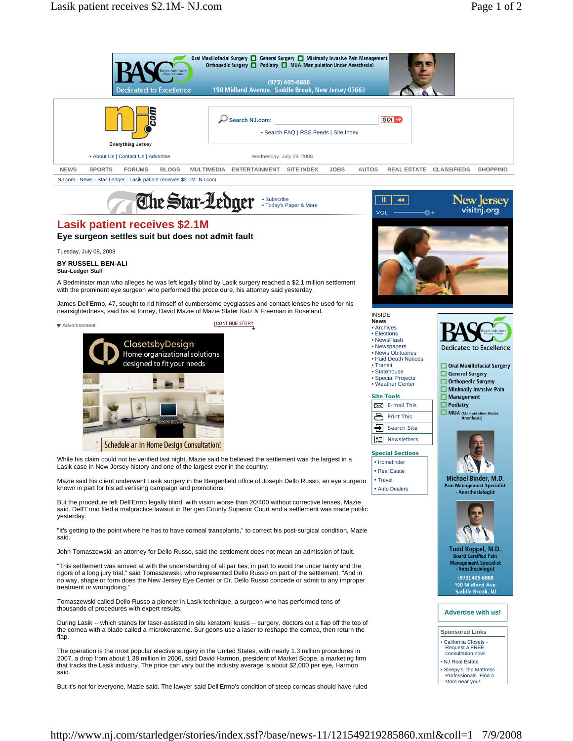